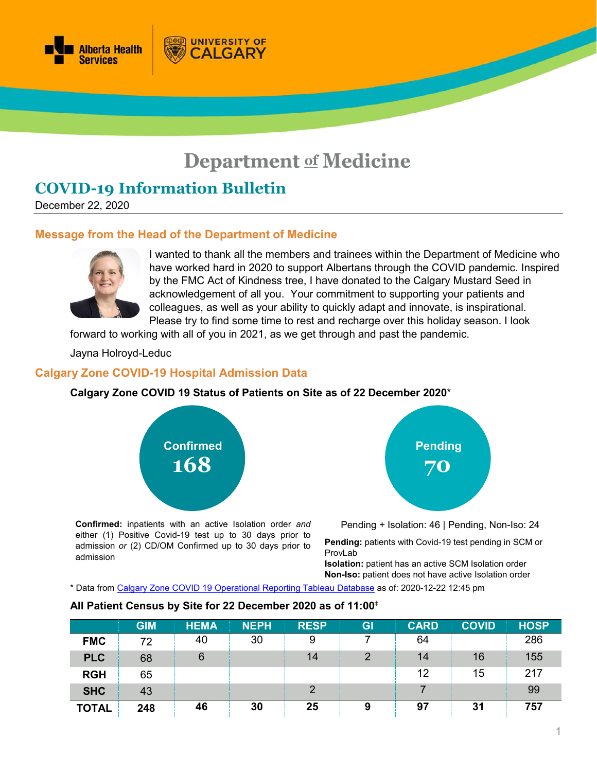

# **Department of Medicine**

## **COVID-19 Information Bulletin**

December 22, 2020

#### **Message from the Head of the Department of Medicine**

**UNIVERSITY OF** 

ALGARY



I wanted to thank all the members and trainees within the Department of Medicine who have worked hard in 2020 to support Albertans through the COVID pandemic. Inspired by the FMC Act of Kindness tree, I have donated to the Calgary Mustard Seed in acknowledgement of all you. Your commitment to supporting your patients and colleagues, as well as your ability to quickly adapt and innovate, is inspirational. Please try to find some time to rest and recharge over this holiday season. I look

forward to working with all of you in 2021, as we get through and past the pandemic.

Jayna Holroyd-Leduc

#### **Calgary Zone COVID-19 Hospital Admission Data**

#### **Calgary Zone COVID 19 Status of Patients on Site as of 22 December 2020**\*



**Confirmed:** inpatients with an active Isolation order *and* either (1) Positive Covid-19 test up to 30 days prior to admission *or* (2) CD/OM Confirmed up to 30 days prior to admission



Pending + Isolation: 46 | Pending, Non-Iso: 24

**Pending:** patients with Covid-19 test pending in SCM or ProvLab

**Isolation:** patient has an active SCM Isolation order **Non-Iso:** patient does not have active Isolation order

\* Data from [Calgary Zone COVID 19 Operational Reporting](https://tableau.albertahealthservices.ca/#/views/Covid19StatusCalgarySites/COVID19StatusCZSites?:iid=1) Tableau Database as of: 2020-12-22 12:45 pm

|              | <b>GIM</b> | <b>HEMA</b> | <b>NEPH</b> | <b>RESP</b>    | GI | <b>CARD</b> | <b>COVID</b> | <b>HOSP</b> |
|--------------|------------|-------------|-------------|----------------|----|-------------|--------------|-------------|
| <b>FMC</b>   | 72         | 40          | 30          | 9              |    | 64          |              | 286         |
| <b>PLC</b>   | 68         | 6           |             | 14             | 2  | 14          | 16           | 155         |
| <b>RGH</b>   | 65         |             |             |                |    | 12          | 15           | 217         |
| <b>SHC</b>   | 43         |             |             | $\overline{2}$ |    |             |              | 99          |
| <b>TOTAL</b> | 248        | 46          | 30          | 25             | 9  | 97          | 31           | 757         |

#### **All Patient Census by Site for 22 December 2020 as of 11:00**<sup>ǂ</sup>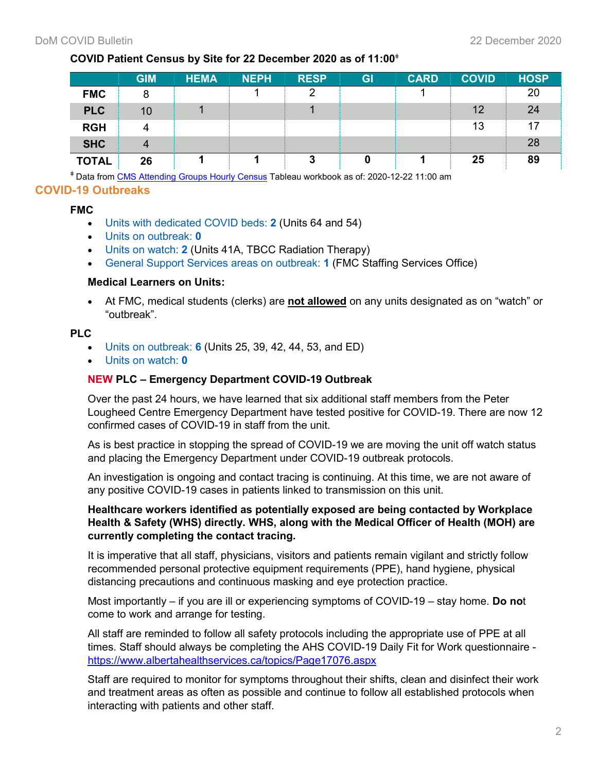## **COVID Patient Census by Site for 22 December 2020 as of 11:00**<sup>ǂ</sup>

|              | <b>GIM</b> | <b>HEMA</b> | <b>NEPH</b> | <b>RESP</b> | GI | <b>CARD</b> | <b>COVID</b> | <b>HOSP</b> |
|--------------|------------|-------------|-------------|-------------|----|-------------|--------------|-------------|
| <b>FMC</b>   |            |             |             | ာ           |    |             |              | 20          |
| <b>PLC</b>   | 10         |             |             |             |    |             | 12           | 24          |
| <b>RGH</b>   |            |             |             |             |    |             | 13           | 17          |
| <b>SHC</b>   |            |             |             |             |    |             |              | 28          |
| <b>TOTAL</b> | 26         |             |             | 3           |    |             | 25           | 89          |

<sup>ǂ</sup> Data from [CMS Attending Groups Hourly Census](https://tableau.albertahealthservices.ca/#/workbooks/29067/views) Tableau workbook as of: 2020-12-22 11:00 am

## **COVID-19 Outbreaks**

#### **FMC**

- Units with dedicated COVID beds: **2** (Units 64 and 54)
- Units on outbreak: **0**
- Units on watch: **2** (Units 41A, TBCC Radiation Therapy)
- General Support Services areas on outbreak: **1** (FMC Staffing Services Office)

#### **Medical Learners on Units:**

• At FMC, medical students (clerks) are **not allowed** on any units designated as on "watch" or "outbreak".

#### **PLC**

- Units on outbreak: **6** (Units 25, 39, 42, 44, 53, and ED)
- Units on watch: **0**

#### **NEW PLC – Emergency Department COVID-19 Outbreak**

Over the past 24 hours, we have learned that six additional staff members from the Peter Lougheed Centre Emergency Department have tested positive for COVID-19. There are now 12 confirmed cases of COVID-19 in staff from the unit.

As is best practice in stopping the spread of COVID-19 we are moving the unit off watch status and placing the Emergency Department under COVID-19 outbreak protocols.

An investigation is ongoing and contact tracing is continuing. At this time, we are not aware of any positive COVID-19 cases in patients linked to transmission on this unit.

#### **Healthcare workers identified as potentially exposed are being contacted by Workplace Health & Safety (WHS) directly. WHS, along with the Medical Officer of Health (MOH) are currently completing the contact tracing.**

It is imperative that all staff, physicians, visitors and patients remain vigilant and strictly follow recommended personal protective equipment requirements (PPE), hand hygiene, physical distancing precautions and continuous masking and eye protection practice.

Most importantly – if you are ill or experiencing symptoms of COVID-19 – stay home. **Do no**t come to work and arrange for testing.

All staff are reminded to follow all safety protocols including the appropriate use of PPE at all times. Staff should always be completing the AHS COVID-19 Daily Fit for Work questionnaire <https://www.albertahealthservices.ca/topics/Page17076.aspx>

Staff are required to monitor for symptoms throughout their shifts, clean and disinfect their work and treatment areas as often as possible and continue to follow all established protocols when interacting with patients and other staff.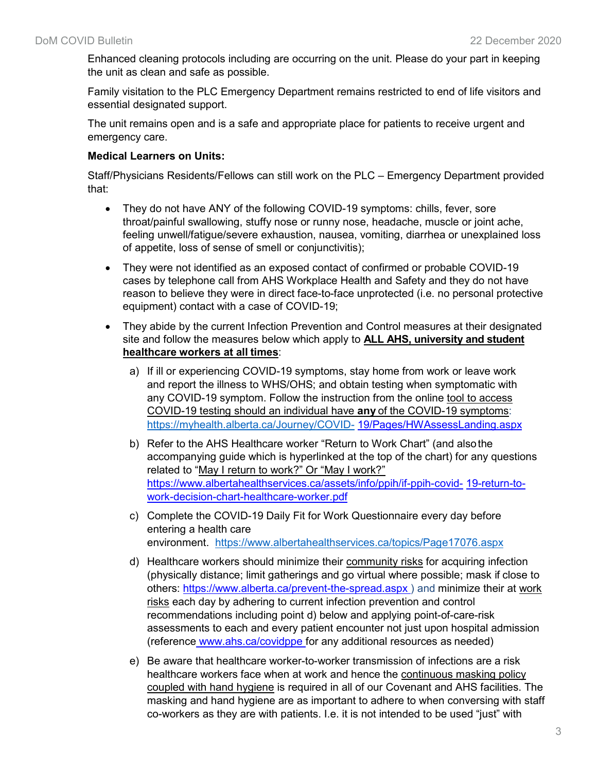Enhanced cleaning protocols including are occurring on the unit. Please do your part in keeping the unit as clean and safe as possible.

Family visitation to the PLC Emergency Department remains restricted to end of life visitors and essential designated support.

The unit remains open and is a safe and appropriate place for patients to receive urgent and emergency care.

#### **Medical Learners on Units:**

Staff/Physicians Residents/Fellows can still work on the PLC – Emergency Department provided that:

- They do not have ANY of the following COVID-19 symptoms: chills, fever, sore throat/painful swallowing, stuffy nose or runny nose, headache, muscle or joint ache, feeling unwell/fatigue/severe exhaustion, nausea, vomiting, diarrhea or unexplained loss of appetite, loss of sense of smell or conjunctivitis);
- They were not identified as an exposed contact of confirmed or probable COVID-19 cases by telephone call from AHS Workplace Health and Safety and they do not have reason to believe they were in direct face-to-face unprotected (i.e. no personal protective equipment) contact with a case of COVID-19;
- They abide by the current Infection Prevention and Control measures at their designated site and follow the measures below which apply to **ALL AHS, university and student healthcare workers at all times**:
	- a) If ill or experiencing COVID-19 symptoms, stay home from work or leave work and report the illness to WHS/OHS; and obtain testing when symptomatic with any COVID-19 symptom. Follow the instruction from the online tool to access COVID-19 testing should an individual have **any** of the COVID-19 symptoms: <https://myhealth.alberta.ca/Journey/COVID-> [19/Pages/HWAssessLanding.aspx](https://myhealth.alberta.ca/Journey/COVID-19/Pages/HWAssessLanding.aspx)
	- b) Refer to the AHS Healthcare worker "Return to Work Chart" (and alsothe accompanying guide which is hyperlinked at the top of the chart) for any questions related to "May I return to work?" Or "May I work?" [https://www.albertahealthservices.ca/assets/info/ppih/if-ppih-covid-](https://www.albertahealthservices.ca/assets/info/ppih/if-ppih-covid-19-return-to-work-decision-chart-healthcare-worker.pdf) [19-return-to](https://www.albertahealthservices.ca/assets/info/ppih/if-ppih-covid-19-return-to-work-decision-chart-healthcare-worker.pdf)[work-decision-chart-healthcare-worker.pdf](https://www.albertahealthservices.ca/assets/info/ppih/if-ppih-covid-19-return-to-work-decision-chart-healthcare-worker.pdf)
	- c) Complete the COVID-19 Daily Fit for Work Questionnaire every day before entering a health care environment. <https://www.albertahealthservices.ca/topics/Page17076.aspx>
	- d) Healthcare workers should minimize their community risks for acquiring infection (physically distance; limit gatherings and go virtual where possible; mask if close to others: [https://www.alberta.ca/prevent-the-spread.aspx \)](https://www.alberta.ca/prevent-the-spread.aspx) and minimize their at work risks each day by adhering to current infection prevention and control recommendations including point d) below and applying point-of-care-risk assessments to each and every patient encounter not just upon hospital admission (reference [www.ahs.ca/covidppe f](http://www.ahs.ca/covidppe)or any additional resources as needed)
	- e) Be aware that healthcare worker-to-worker transmission of infections are a risk healthcare workers face when at work and hence the continuous masking policy coupled with hand hygiene is required in all of our Covenant and AHS facilities. The masking and hand hygiene are as important to adhere to when conversing with staff co-workers as they are with patients. I.e. it is not intended to be used "just" with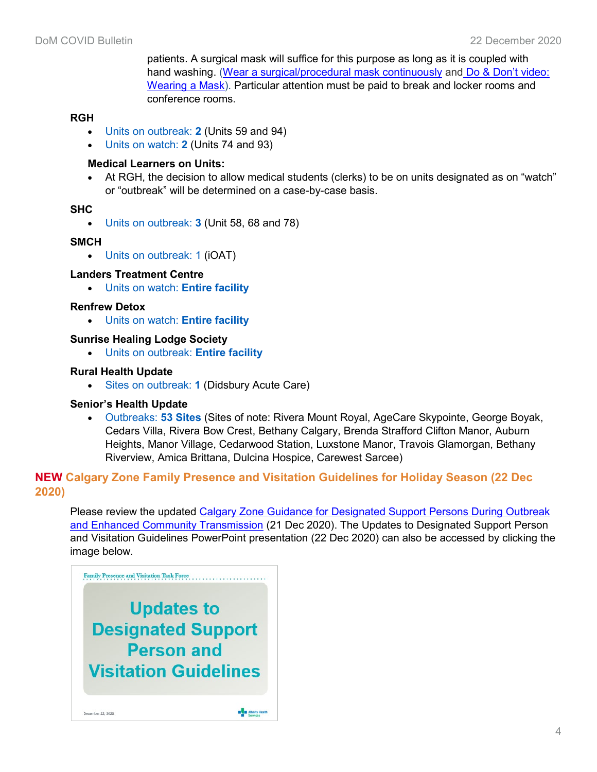patients. A surgical mask will suffice for this purpose as long as it is coupled with hand washing. [\(Wear a](https://www.albertahealthservices.ca/assets/info/ppih/if-ppih-covid-19-ppe-continuous-use-guidance-masking.pdf) [surgical/procedural mask continuously](https://www.albertahealthservices.ca/assets/info/ppih/if-ppih-covid-19-ppe-continuous-use-guidance-masking.pdf) and [Do & Don't video:](https://youtu.be/t2SBm-eJTAk)  [Wearing a](https://youtu.be/t2SBm-eJTAk) [Mask\)](https://youtu.be/t2SBm-eJTAk). Particular attention must be paid to break and locker rooms and conference rooms.

#### **RGH**

- Units on outbreak: **2** (Units 59 and 94)
- Units on watch: **2** (Units 74 and 93)

#### **Medical Learners on Units:**

• At RGH, the decision to allow medical students (clerks) to be on units designated as on "watch" or "outbreak" will be determined on a case-by-case basis.

#### **SHC**

• Units on outbreak: **3** (Unit 58, 68 and 78)

#### **SMCH**

• Units on outbreak: 1 (iOAT)

#### **Landers Treatment Centre**

• Units on watch: **Entire facility**

#### **Renfrew Detox**

• Units on watch: **Entire facility**

#### **Sunrise Healing Lodge Society**

• Units on outbreak: **Entire facility**

#### **Rural Health Update**

• Sites on outbreak: **1** (Didsbury Acute Care)

#### **Senior's Health Update**

• Outbreaks: **53 Sites** (Sites of note: Rivera Mount Royal, AgeCare Skypointe, George Boyak, Cedars Villa, Rivera Bow Crest, Bethany Calgary, Brenda Strafford Clifton Manor, Auburn Heights, Manor Village, Cedarwood Station, Luxstone Manor, Travois Glamorgan, Bethany Riverview, Amica Brittana, Dulcina Hospice, Carewest Sarcee)

## **NEW Calgary Zone Family Presence and Visitation Guidelines for Holiday Season (22 Dec 2020)**

Please review the updated [Calgary Zone Guidance for Designated Support Persons During Outbreak](https://www.albertahealthservices.ca/assets/info/ppih/if-ppih-covid-19-calgary-dsp-outbreak-community-transmission.pdf)  [and Enhanced Community Transmission](https://www.albertahealthservices.ca/assets/info/ppih/if-ppih-covid-19-calgary-dsp-outbreak-community-transmission.pdf) (21 Dec 2020). The Updates to Designated Support Person and Visitation Guidelines PowerPoint presentation (22 Dec 2020) can also be accessed by clicking the image below.

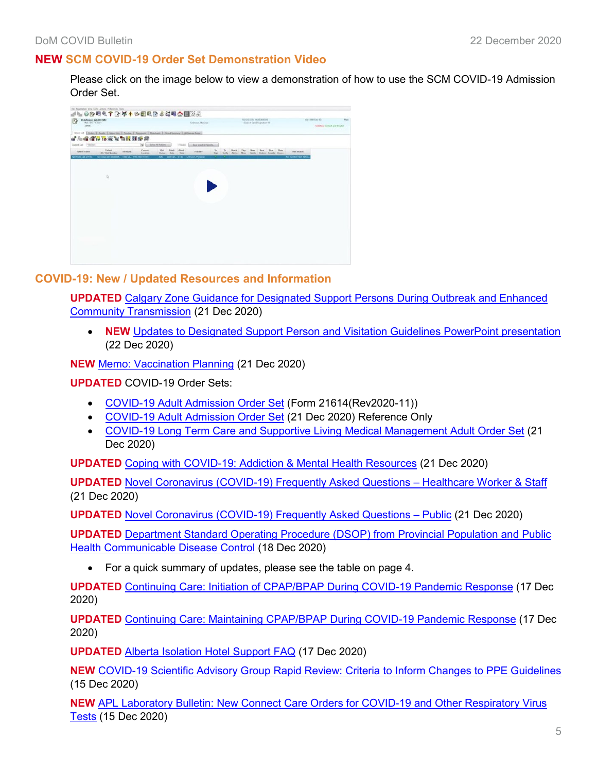## **NEW SCM COVID-19 Order Set Demonstration Video**

Please click on the image below to view a demonstration of how to use the SCM COVID-19 Admission Order Set.



#### **COVID-19: New / Updated Resources and Information**

**UPDATED** [Calgary Zone Guidance for Designated Support Persons During Outbreak and Enhanced](https://www.albertahealthservices.ca/assets/info/ppih/if-ppih-covid-19-calgary-dsp-outbreak-community-transmission.pdf)  [Community Transmission](https://www.albertahealthservices.ca/assets/info/ppih/if-ppih-covid-19-calgary-dsp-outbreak-community-transmission.pdf) (21 Dec 2020)

• **NEW** [Updates to Designated Support Person and Visitation Guidelines PowerPoint presentation](http://www.departmentofmedicine.com/meoc/family-presence-visitation-task-force-zeoc-orientation.pdf) (22 Dec 2020)

**NEW** [Memo: Vaccination Planning](http://www.departmentofmedicine.com/meoc/covid-19-vaccination-planning-memo-12dec2020.pdf) (21 Dec 2020)

**UPDATED** COVID-19 Order Sets:

- [COVID-19 Adult Admission Order Set](https://www.albertahealthservices.ca/frm-21614.pdf) (Form 21614(Rev2020-11))
- [COVID-19 Adult Admission Order Set](https://insite.albertahealthservices.ca/main/assets/cgv/tls-cgv-covid-19-adult-admission-order-set.pdf) (21 Dec 2020) Reference Only
- [COVID-19 Long Term Care and Supportive Living Medical Management Adult Order Set](https://insite.albertahealthservices.ca/main/assets/cgv/tls-cgv-covid-19-long-term-care-and-supportive-living-medical-management-adult-order-set.pdf) (21 Dec 2020)

**UPDATED** [Coping with COVID-19: Addiction & Mental Health Resources](https://www.albertahealthservices.ca/assets/info/ppih/if-ppih-covid-19-coping-amh-resources.pdf) (21 Dec 2020)

**UPDATED** [Novel Coronavirus \(COVID-19\) Frequently Asked Questions –](https://www.albertahealthservices.ca/assets/info/ppih/if-ppih-ncov-2019-staff-faq.pdf) Healthcare Worker & Staff (21 Dec 2020)

**UPDATED** [Novel Coronavirus \(COVID-19\) Frequently Asked Questions –](https://www.albertahealthservices.ca/assets/info/ppih/if-ppih-ncov-2019-public-faq.pdf) Public (21 Dec 2020)

**UPDATED** [Department Standard Operating Procedure \(DSOP\) from Provincial](https://insite.albertahealthservices.ca/main/assets/tms/cdc/tms-cdc-nd-novel-coronaviruses-dsop.pdf) Population and Public [Health Communicable Disease Control](https://insite.albertahealthservices.ca/main/assets/tms/cdc/tms-cdc-nd-novel-coronaviruses-dsop.pdf) (18 Dec 2020)

• For a quick summary of updates, please see the table on page 4.

**UPDATED** Continuing Care: [Initiation of CPAP/BPAP During COVID-19 Pandemic Response](https://www.albertahealthservices.ca/assets/info/ppih/if-ppih-covid-19-cc-cpap-bpap-during-covid-19-pandemic-response-initiation.pdf) (17 Dec 2020)

**UPDATED** [Continuing Care: Maintaining CPAP/BPAP During COVID-19 Pandemic Response](https://www.albertahealthservices.ca/assets/info/ppih/if-ppih-covid-19-cc-cpap-bpap-during-covid-19-pandemic-response-maintaining.pdf) (17 Dec 2020)

**UPDATED** [Alberta Isolation Hotel](http://www.departmentofmedicine.com/meoc/if-ppih-covid-19-alberta-isolation-hotel-support-faq.pdf) Support FAQ (17 Dec 2020)

**NEW** [COVID-19 Scientific Advisory Group Rapid Review: Criteria to Inform Changes to PPE Guidelines](https://www.albertahealthservices.ca/assets/info/ppih/if-ppih-covid-19-sag-criteria-ppe-guidelines-rapid-review.pdf) (15 Dec 2020)

**NEW** [APL Laboratory Bulletin: New Connect Care Orders for COVID-19 and Other Respiratory Virus](https://www.albertahealthservices.ca/assets/wf/lab/if-lab-hp-bulletin-connect-care-orders-for-covid-19-and-other-respiratory-virus-tests.pdf)  [Tests](https://www.albertahealthservices.ca/assets/wf/lab/if-lab-hp-bulletin-connect-care-orders-for-covid-19-and-other-respiratory-virus-tests.pdf) (15 Dec 2020)